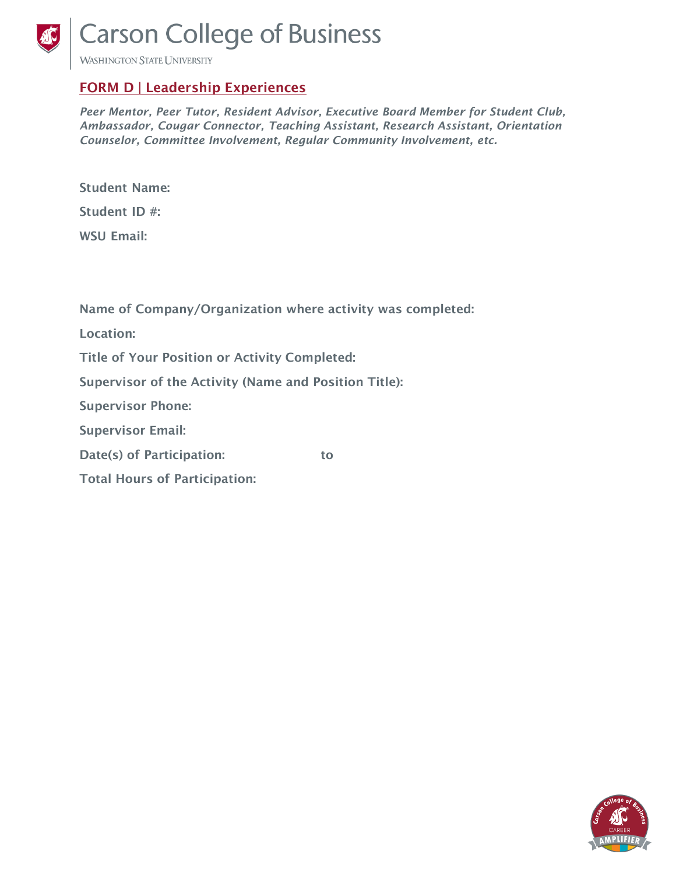

**Carson College of Business** 

**WASHINGTON STATE UNIVERSITY** 

## FORM D | Leadership Experiences

*Peer Mentor, Peer Tutor, Resident Advisor, Executive Board Member for Student Club, Ambassador, Cougar Connector, Teaching Assistant, Research Assistant, Orientation Counselor, Committee Involvement, Regular Community Involvement, etc.*

| <b>Student Name:</b> |  |
|----------------------|--|
| Student ID #:        |  |
| <b>WSU Email:</b>    |  |

Name of Company/Organization where activity was completed:

Location:

Title of Your Position or Activity Completed:

Supervisor of the Activity (Name and Position Title):

Supervisor Phone:

Supervisor Email:

Date(s) of Participation: to

Total Hours of Participation: